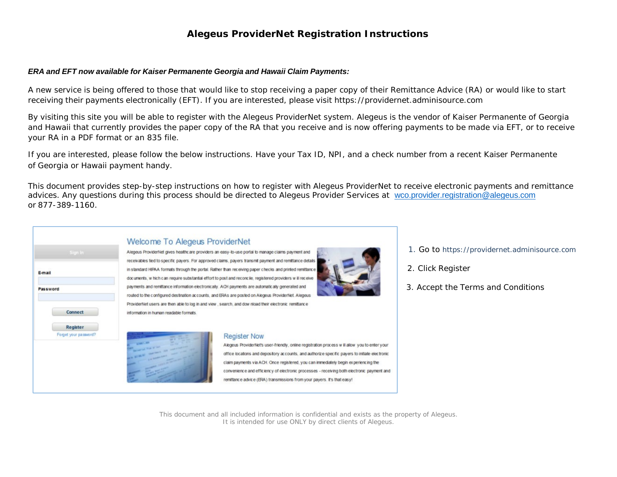#### *ERA and EFT now available for Kaiser Permanente Georgia and Hawaii Claim Payments:*

A new service is being offered to those that would like to stop receiving a paper copy of their Remittance Advice (RA) or would like to start receiving their payments electronically (EFT). If you are interested, please visit https://providernet.adminisource.com

By visiting this site you will be able to register with the Alegeus ProviderNet system. Alegeus is the vendor of Kaiser Permanente of Georgia and Hawaii that currently provides the paper copy of the RA that you receive and is now offering payments to be made via EFT, or to receive your RA in a PDF format or an 835 file.

If you are interested, please follow the below instructions. Have your Tax ID, NPI, and a check number from a recent Kaiser Permanente of Georgia or Hawaii payment handy.

This document provides step-by-step instructions on how to register with Alegeus ProviderNet to receive electronic payments and remittance advices. Any questions during this process should be directed to Alegeus Provider Services at [wco.provider.registration@alegeus.com](mailto:wco.provider.registration@alegeus.com) or 877-389-1160.

| Welcome To A                    |
|---------------------------------|
| Alegeus ProviderNet gives he    |
| receivables tied to specific pa |
| in standard HIPAA formats th    |
| documents, w hich can requir    |
| payments and remittance info    |
| routed to the configured dest   |
| ProviderNet users are then a    |
| information in human readable   |
|                                 |
|                                 |
|                                 |
| <b>THE WILD</b>                 |
|                                 |
|                                 |
|                                 |

#### **Negeus ProviderNet**

ealthcare providers an easy-to-use portal to manage claims payment and ayers. For approved claims, payers transmit payment and remittance details rough the portal. Rather than receiving paper checks and printed remittance re substantial effort to post and reconcile, registered providers will receive ormation electronically. ACH payments are automatically generated and Ination accounts, and ERAs are posted on Alegeus Providentiet. Alegeus ble to log in and view, search, and dow nload their electronic remittance e formats.



- 1. Go to https://providernet.adminisource.com
- 2. Click Register
- 3. Accept the Terms and Conditions

**Register Now** 

Alegeus ProviderNet's user-friendly, online registration process w ill allow you to enter your office locations and depository accounts, and authorize specific payers to initiate electronic claim payments via ACH. Once registered, you can immediately begin experiencing the convenience and efficiency of electronic processes - receiving both electronic payment and remittance advice (ERA) transmissions from your payers. It's that easy!

This document and all included information is confidential and exists as the property of Alegeus. It is intended for use ONLY by direct clients of Alegeus.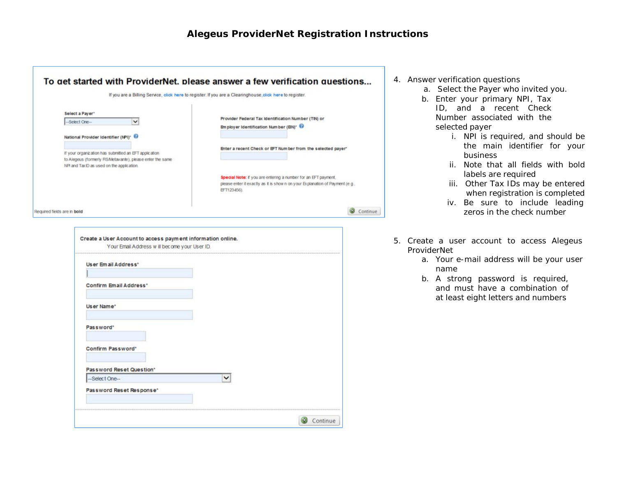Continue

| Select a Payer*                                                                                                     |                                                                                                              |                                                                                                                                                               |
|---------------------------------------------------------------------------------------------------------------------|--------------------------------------------------------------------------------------------------------------|---------------------------------------------------------------------------------------------------------------------------------------------------------------|
| -Select One-                                                                                                        | v                                                                                                            | Provider Federal Tax Identification Number (TIN) or<br>Em ployer Identification Num ber (EIN)* @                                                              |
| National Provider Identifier (NPI) <sup>*</sup>                                                                     |                                                                                                              |                                                                                                                                                               |
|                                                                                                                     |                                                                                                              | Enter a recent Check or EFT Num ber from the selected payer'                                                                                                  |
| If your organization has submitted an EFT application<br>to Alegeus (formerly FIS/Metavante), please enter the same |                                                                                                              |                                                                                                                                                               |
| NPI and Tax ID as used on the application.                                                                          |                                                                                                              |                                                                                                                                                               |
|                                                                                                                     |                                                                                                              | Special Note: if you are entering a number for an EFT payment,<br>please enter it exactly as it is shown on your Explanation of Payment (e.g.,<br>EFT123456). |
| Required fields are in bold                                                                                         |                                                                                                              |                                                                                                                                                               |
|                                                                                                                     |                                                                                                              |                                                                                                                                                               |
| User Email Address*                                                                                                 | Create a User Account to access payment information online.<br>Your Email Address w III become your User ID. |                                                                                                                                                               |
| <b>Confirm Email Address*</b>                                                                                       |                                                                                                              |                                                                                                                                                               |
|                                                                                                                     |                                                                                                              |                                                                                                                                                               |
| User Name*                                                                                                          |                                                                                                              |                                                                                                                                                               |
|                                                                                                                     |                                                                                                              |                                                                                                                                                               |
| Password <sup>*</sup>                                                                                               |                                                                                                              |                                                                                                                                                               |
|                                                                                                                     |                                                                                                              |                                                                                                                                                               |
| Confirm Password*                                                                                                   |                                                                                                              |                                                                                                                                                               |
|                                                                                                                     |                                                                                                              |                                                                                                                                                               |
| Password Reset Question*<br>-Select One-                                                                            |                                                                                                              | ◡                                                                                                                                                             |

- 4. Answer verification questions
	- a. Select the Payer who invited you.
	- b. Enter your primary NPI, Tax ID, and a recent Check Number associated with the selected payer
		- i. NPI is required, and should be the main identifier for your business
		- ii. Note that all fields with bold labels are required
		- iii. Other Tax IDs may be entered when registration is completed
		- iv. Be sure to include leading zeros in the check number
- 5. Create a user account to access Alegeus ProviderNet
	- a. Your e-mail address will be your user name
	- b. A strong password is required, and must have a combination of at least eight letters and numbers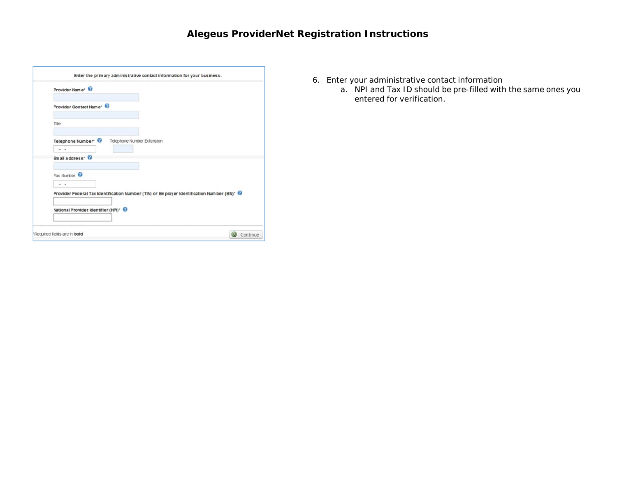| Provider Name <sup>*</sup>            |                            |                                                                                            |
|---------------------------------------|----------------------------|--------------------------------------------------------------------------------------------|
| Provider Contact Name* <sup>@</sup>   |                            |                                                                                            |
| Title                                 |                            |                                                                                            |
| Telephone Number <sup>®</sup><br>$-1$ | Telephone Number Extension |                                                                                            |
| <b>Email Address*</b>                 |                            |                                                                                            |
| Fax Number<br>$\sim$                  |                            |                                                                                            |
|                                       |                            | Provider Federal Tax Identification Number (TIN) or Employer Identification Number (EN)* @ |
| National Provider Identifier (NPI)* @ |                            |                                                                                            |

- 6. Enter your administrative contact information
	- a. NPI and Tax ID should be pre-filled with the same ones you entered for verification.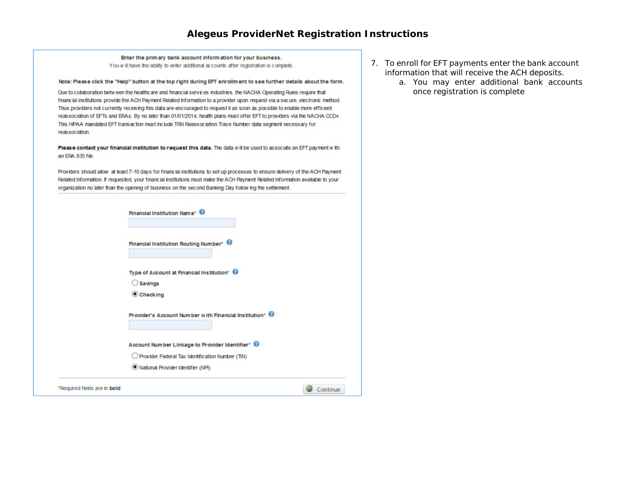Enter the primary bank account information for your business. You will have the ability to enter additional accounts after registration is complete.

#### Note: Please click the "Help" button at the top right during EFT enrollment to see further details about the form.

Due to collaboration betw een the healthcare and financial services industries, the NACHA Operating Rules require that financial institutions provide the ACH Payment Related Information to a provider upon request via a secure, electronic method. Thus providers not currently receiving this data are encouraged to request it as soon as possible to enable more efficient reassociation of EFTs and ERAs. By no later than 01/01/2014, health plans must offer EFT to providers via the NACHA CCD+. This HIPAA mandated EFT transaction must include TRN Reassociation Trace Number data segment necessary for reassociation.

Please contact your financial institution to request this data. The data will be used to associate an EFT payment with an ERA 835 file.

Providers should allow at least 7-10 days for financial institutions to set up processes to ensure delivery of the ACH Payment Related Information. If requested, your financial institutions must make the ACH Payment Related Information available to your organization no later than the opening of business on the second Banking Day follow ing the settlement.

| Required fields are in bold |                                                         | Continue |
|-----------------------------|---------------------------------------------------------|----------|
|                             | National Provider Identifier (NPI)                      |          |
|                             | O Provider Federal Tax Identification Number (TIN)      |          |
|                             | Account Number Linkage to Provider Identifier* @        |          |
|                             | Provider's Account Number with Financial Institution* @ |          |
|                             | Checking                                                |          |
|                             | $\bigcirc$ Savings                                      |          |
|                             | Type of Account at Financial Institution' @             |          |
|                             | Financial Institution Routing Number*                   |          |
|                             |                                                         |          |
|                             | Financial Institution Name* @                           |          |
|                             |                                                         |          |

- 7. To enroll for EFT payments enter the bank account information that will receive the ACH deposits.
	- a. You may enter additional bank accounts once registration is complete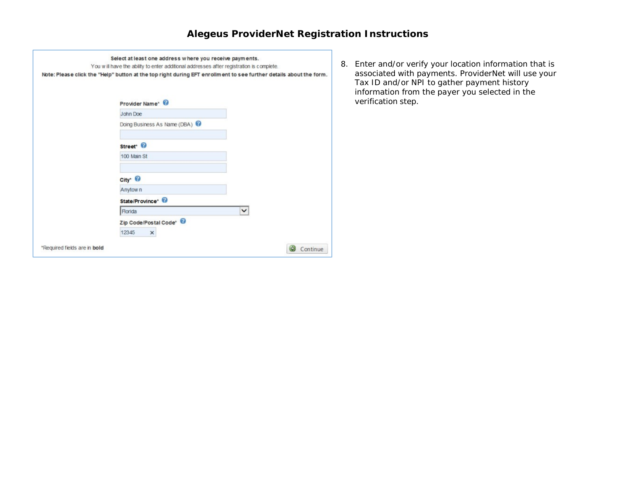| Note: Please click the "Help" button at the top right during EFT enrollment to see further details about the form. |              |  |
|--------------------------------------------------------------------------------------------------------------------|--------------|--|
| Provider Name* <sup>©</sup>                                                                                        |              |  |
| John Doe                                                                                                           |              |  |
| Doing Business As Name (DBA)                                                                                       |              |  |
| Street <sup>®</sup>                                                                                                |              |  |
| 100 Main St                                                                                                        |              |  |
| City* <sup>©</sup>                                                                                                 |              |  |
| Anytow <sub>n</sub>                                                                                                |              |  |
| State/Province*                                                                                                    |              |  |
| <b>Florida</b>                                                                                                     | $\checkmark$ |  |
| Zip Code/Postal Code*                                                                                              |              |  |
| 12345<br>$\times$                                                                                                  |              |  |

8. Enter and/or verify your location information that is associated with payments. ProviderNet will use your Tax ID and/or NPI to gather payment history information from the payer you selected in the verification step.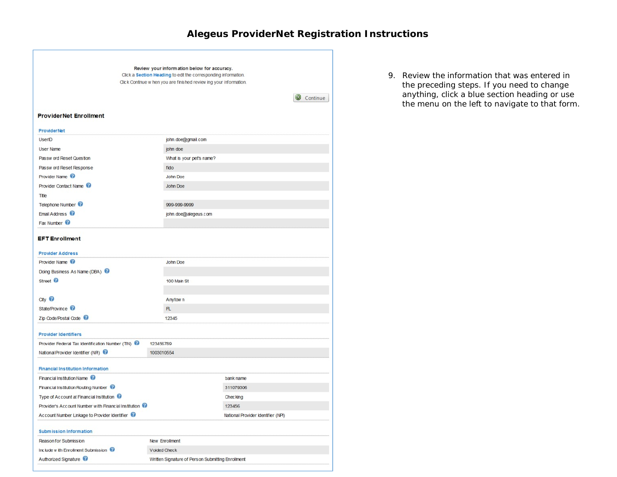|                                                                                 |            | Review your information below for accuracy.<br>Click a Section Heading to edit the corresponding information. |                                    |  |          |
|---------------------------------------------------------------------------------|------------|---------------------------------------------------------------------------------------------------------------|------------------------------------|--|----------|
|                                                                                 |            | Click Continue w hen you are finished review ing your information.                                            |                                    |  |          |
|                                                                                 |            |                                                                                                               |                                    |  | Continue |
| <b>ProviderNet Enrollment</b>                                                   |            |                                                                                                               |                                    |  |          |
|                                                                                 |            |                                                                                                               |                                    |  |          |
| <b>ProviderNet</b><br>UserID                                                    |            |                                                                                                               |                                    |  |          |
| User Name                                                                       |            | john.doe@gmail.com                                                                                            |                                    |  |          |
| Passw ord Reset Question                                                        |            | john doe                                                                                                      |                                    |  |          |
|                                                                                 |            | What is your pet's name?                                                                                      |                                    |  |          |
| Passw ord Reset Response<br>Provider Name <sup>@</sup><br>Provider Contact Name |            | fido                                                                                                          |                                    |  |          |
|                                                                                 |            | <b>John Doe</b>                                                                                               |                                    |  |          |
|                                                                                 |            | John Doe                                                                                                      |                                    |  |          |
| Title                                                                           |            |                                                                                                               |                                    |  |          |
| Telephone Number <sup>Q</sup><br>Email Address <sup>0</sup><br>Fax Number       |            | 999-999-9999                                                                                                  |                                    |  |          |
|                                                                                 |            | john.doe@alegeus.com                                                                                          |                                    |  |          |
|                                                                                 |            |                                                                                                               |                                    |  |          |
| <b>EFT</b> Enrollment                                                           |            |                                                                                                               |                                    |  |          |
| <b>Provider Address</b>                                                         |            |                                                                                                               |                                    |  |          |
| Provider Name <sup>@</sup>                                                      |            | John Doe                                                                                                      |                                    |  |          |
| Doing Business As Name (DBA)                                                    |            |                                                                                                               |                                    |  |          |
| Street <sup>2</sup>                                                             |            | 100 Main St                                                                                                   |                                    |  |          |
|                                                                                 |            |                                                                                                               |                                    |  |          |
| $\mathsf{ctx} \odot$                                                            |            | Anytow <sub>n</sub>                                                                                           |                                    |  |          |
| State/Province <sup>@</sup>                                                     |            | FL.                                                                                                           |                                    |  |          |
| Zip Code/Postal Code                                                            |            | 12345                                                                                                         |                                    |  |          |
|                                                                                 |            |                                                                                                               |                                    |  |          |
| <b>Provider Identifiers</b>                                                     |            |                                                                                                               |                                    |  |          |
| Provider Federal Tax Identification Number (TIN)                                | 123456789  |                                                                                                               |                                    |  |          |
| National Provider Identifier (NR)                                               | 1003010554 |                                                                                                               |                                    |  |          |
|                                                                                 |            |                                                                                                               |                                    |  |          |
| <b>Financial Institution Information</b>                                        |            |                                                                                                               |                                    |  |          |
| Financial Institution Name <sup>@</sup>                                         |            |                                                                                                               | bank name                          |  |          |
| Financial Institution Routing Number                                            |            |                                                                                                               | 311079306                          |  |          |
| Type of Account at Financial Institution @                                      |            |                                                                                                               | Chec king                          |  |          |
| Provider's Account Number with Financial Institution @                          |            |                                                                                                               | 123456                             |  |          |
| Account Number Linkage to Provider Identifier                                   |            |                                                                                                               | National Provider Identifier (NPI) |  |          |
| <b>Submission Information</b>                                                   |            |                                                                                                               |                                    |  |          |
| Reason for Submission                                                           |            | New Enrollment                                                                                                |                                    |  |          |
| Include with Enrolment Submission                                               |            | Voided Check                                                                                                  |                                    |  |          |
| Authorized Signature                                                            |            | Written Signature of Person Submitting Enrollment                                                             |                                    |  |          |

9. Review the information that was entered in the preceding steps. If you need to change anything, click a blue section heading or use the menu on the left to navigate to that form.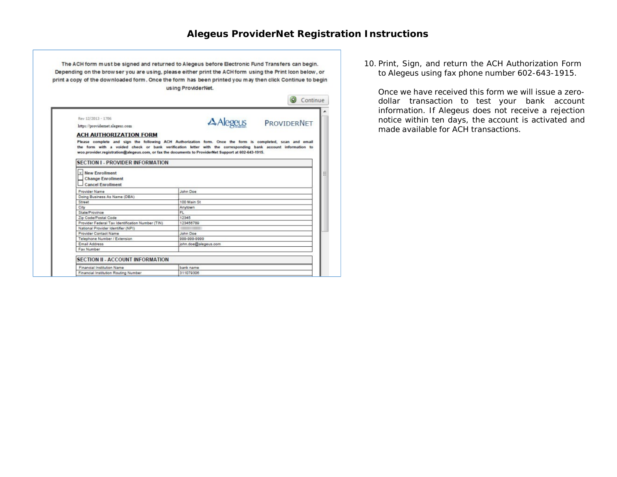The ACH form must be signed and returned to Alegeus before Electronic Fund Transfers can begin. Depending on the brow ser you are using, please either print the ACH form using the Print Icon below, or print a copy of the downloaded form. Once the form has been printed you may then click Continue to begin using ProviderNet.

| Rev 12/2013 - 1786                                                       |                                                                                                                                                                                                                                                                                                                                 |
|--------------------------------------------------------------------------|---------------------------------------------------------------------------------------------------------------------------------------------------------------------------------------------------------------------------------------------------------------------------------------------------------------------------------|
| https://providernet.alegeus.com                                          | A Alegeus PROVIDERNET                                                                                                                                                                                                                                                                                                           |
|                                                                          |                                                                                                                                                                                                                                                                                                                                 |
| <b>ACH AUTHORIZATION FORM</b>                                            | Please complete and sign the following ACH Authorization form. Once the form is completed, scan and email<br>the form with a voided check or bank verification letter with the corresponding bank account information to<br>woo.provider.registration@alegeus.com, or fax the documents to ProviderNet Support at 602-643-1915. |
| <b>SECTION I - PROVIDER INFORMATION</b>                                  |                                                                                                                                                                                                                                                                                                                                 |
|                                                                          |                                                                                                                                                                                                                                                                                                                                 |
| Cancel Enrollment<br>Provider Name                                       | John Doe                                                                                                                                                                                                                                                                                                                        |
| Doing Business As Name (DBA)                                             |                                                                                                                                                                                                                                                                                                                                 |
| Street                                                                   | 100 Main St                                                                                                                                                                                                                                                                                                                     |
| City                                                                     | Anytown                                                                                                                                                                                                                                                                                                                         |
| State/Province                                                           | FL.                                                                                                                                                                                                                                                                                                                             |
| Zip Code/Postal Code<br>Provider Federal Tax Identification Number (TIN) | 12345<br>123456789                                                                                                                                                                                                                                                                                                              |
| National Provider Identifier (NPI)                                       |                                                                                                                                                                                                                                                                                                                                 |
| Provider Contact Name                                                    | John Doe                                                                                                                                                                                                                                                                                                                        |
| Telephone Number / Extension                                             | 999-999-9999                                                                                                                                                                                                                                                                                                                    |
| Email Address                                                            | john.doe@alegeus.com                                                                                                                                                                                                                                                                                                            |

10. Print, Sign, and return the ACH Authorization Form to Alegeus using fax phone number 602-643-1915.

Once we have received this form we will issue a zerodollar transaction to test your bank account information. If Alegeus does not receive a rejection notice within ten days, the account is activated and made available for ACH transactions.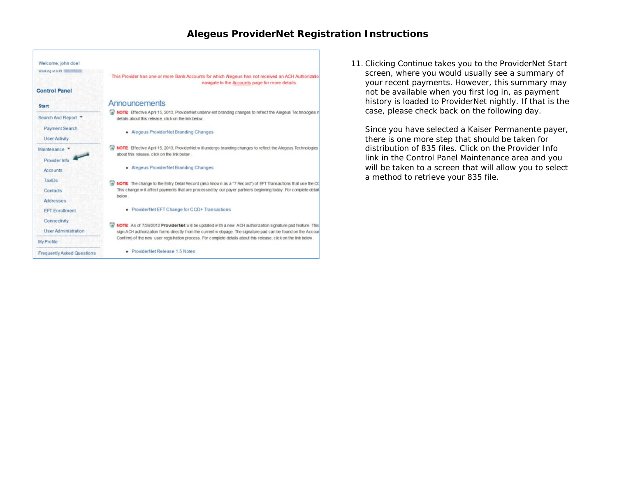

11. Clicking Continue takes you to the ProviderNet Start screen, where you would usually see a summary of your recent payments. However, this summary may not be available when you first log in, as payment history is loaded to ProviderNet nightly. If that is the case, please check back on the following day.

Since you have selected a Kaiser Permanente payer, there is one more step that should be taken for distribution of 835 files. Click on the Provider Info link in the Control Panel Maintenance area and you will be taken to a screen that will allow you to select a method to retrieve your 835 file.